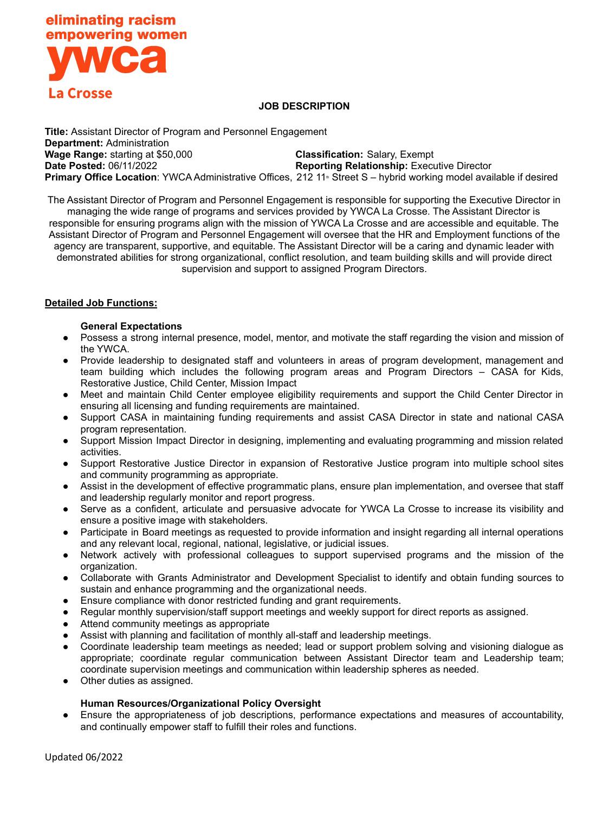

### **JOB DESCRIPTION**

**Title:** Assistant Director of Program and Personnel Engagement **Department:** Administration **Wage Range:** starting at \$50,000 **Classification:** Salary, Exempt **Date Posted:** 06/11/2022 **Reporting Relationship:** Executive Director **Primary Office Location**: YWCA Administrative Offices, 212 11<sup>th</sup> Street S – hybrid working model available if desired

The Assistant Director of Program and Personnel Engagement is responsible for supporting the Executive Director in managing the wide range of programs and services provided by YWCA La Crosse. The Assistant Director is responsible for ensuring programs align with the mission of YWCA La Crosse and are accessible and equitable. The Assistant Director of Program and Personnel Engagement will oversee that the HR and Employment functions of the agency are transparent, supportive, and equitable. The Assistant Director will be a caring and dynamic leader with demonstrated abilities for strong organizational, conflict resolution, and team building skills and will provide direct supervision and support to assigned Program Directors.

### **Detailed Job Functions:**

#### **General Expectations**

- **●** Possess a strong internal presence, model, mentor, and motivate the staff regarding the vision and mission of the YWCA.
- Provide leadership to designated staff and volunteers in areas of program development, management and team building which includes the following program areas and Program Directors – CASA for Kids, Restorative Justice, Child Center, Mission Impact
- Meet and maintain Child Center employee eligibility requirements and support the Child Center Director in ensuring all licensing and funding requirements are maintained.
- Support CASA in maintaining funding requirements and assist CASA Director in state and national CASA program representation.
- Support Mission Impact Director in designing, implementing and evaluating programming and mission related activities.
- Support Restorative Justice Director in expansion of Restorative Justice program into multiple school sites and community programming as appropriate.
- **●** Assist in the development of effective programmatic plans, ensure plan implementation, and oversee that staff and leadership regularly monitor and report progress.
- Serve as a confident, articulate and persuasive advocate for YWCA La Crosse to increase its visibility and ensure a positive image with stakeholders.
- Participate in Board meetings as requested to provide information and insight regarding all internal operations and any relevant local, regional, national, legislative, or judicial issues.
- Network actively with professional colleagues to support supervised programs and the mission of the organization.
- Collaborate with Grants Administrator and Development Specialist to identify and obtain funding sources to sustain and enhance programming and the organizational needs.
- Ensure compliance with donor restricted funding and grant requirements.
- Regular monthly supervision/staff support meetings and weekly support for direct reports as assigned.
- Attend community meetings as appropriate
- Assist with planning and facilitation of monthly all-staff and leadership meetings.
- Coordinate leadership team meetings as needed; lead or support problem solving and visioning dialogue as appropriate; coordinate regular communication between Assistant Director team and Leadership team; coordinate supervision meetings and communication within leadership spheres as needed.
- Other duties as assigned.

### **Human Resources/Organizational Policy Oversight**

Ensure the appropriateness of job descriptions, performance expectations and measures of accountability, and continually empower staff to fulfill their roles and functions.